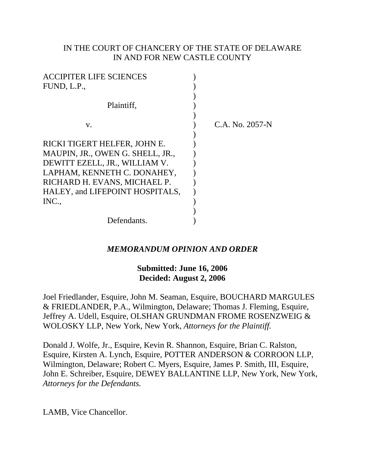# IN THE COURT OF CHANCERY OF THE STATE OF DELAWARE IN AND FOR NEW CASTLE COUNTY

| <b>ACCIPITER LIFE SCIENCES</b>   |                 |
|----------------------------------|-----------------|
| FUND, L.P.,                      |                 |
|                                  |                 |
| Plaintiff,                       |                 |
|                                  |                 |
| V.                               | C.A. No. 2057-N |
|                                  |                 |
| RICKI TIGERT HELFER, JOHN E.     |                 |
| MAUPIN, JR., OWEN G. SHELL, JR., |                 |
| DEWITT EZELL, JR., WILLIAM V.    |                 |
| LAPHAM, KENNETH C. DONAHEY,      |                 |
| RICHARD H. EVANS, MICHAEL P.     |                 |
| HALEY, and LIFEPOINT HOSPITALS,  |                 |
| INC.,                            |                 |
|                                  |                 |
| Defendants.                      |                 |

# *MEMORANDUM OPINION AND ORDER*

## **Submitted: June 16, 2006 Decided: August 2, 2006**

Joel Friedlander, Esquire, John M. Seaman, Esquire, BOUCHARD MARGULES & FRIEDLANDER, P.A., Wilmington, Delaware; Thomas J. Fleming, Esquire, Jeffrey A. Udell, Esquire, OLSHAN GRUNDMAN FROME ROSENZWEIG & WOLOSKY LLP, New York, New York, *Attorneys for the Plaintiff.*

Donald J. Wolfe, Jr., Esquire, Kevin R. Shannon, Esquire, Brian C. Ralston, Esquire, Kirsten A. Lynch, Esquire, POTTER ANDERSON & CORROON LLP, Wilmington, Delaware; Robert C. Myers, Esquire, James P. Smith, III, Esquire, John E. Schreiber, Esquire, DEWEY BALLANTINE LLP, New York, New York, *Attorneys for the Defendants.*

LAMB, Vice Chancellor.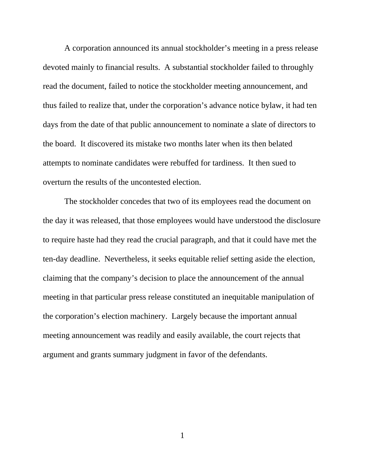A corporation announced its annual stockholder's meeting in a press release devoted mainly to financial results. A substantial stockholder failed to throughly read the document, failed to notice the stockholder meeting announcement, and thus failed to realize that, under the corporation's advance notice bylaw, it had ten days from the date of that public announcement to nominate a slate of directors to the board. It discovered its mistake two months later when its then belated attempts to nominate candidates were rebuffed for tardiness. It then sued to overturn the results of the uncontested election.

The stockholder concedes that two of its employees read the document on the day it was released, that those employees would have understood the disclosure to require haste had they read the crucial paragraph, and that it could have met the ten-day deadline. Nevertheless, it seeks equitable relief setting aside the election, claiming that the company's decision to place the announcement of the annual meeting in that particular press release constituted an inequitable manipulation of the corporation's election machinery. Largely because the important annual meeting announcement was readily and easily available, the court rejects that argument and grants summary judgment in favor of the defendants.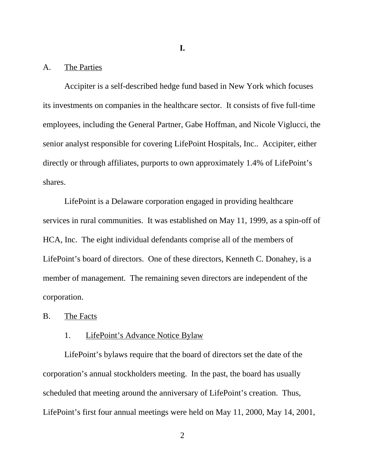### **I.**

## A. The Parties

Accipiter is a self-described hedge fund based in New York which focuses its investments on companies in the healthcare sector. It consists of five full-time employees, including the General Partner, Gabe Hoffman, and Nicole Viglucci, the senior analyst responsible for covering LifePoint Hospitals, Inc.. Accipiter, either directly or through affiliates, purports to own approximately 1.4% of LifePoint's shares.

LifePoint is a Delaware corporation engaged in providing healthcare services in rural communities. It was established on May 11, 1999, as a spin-off of HCA, Inc. The eight individual defendants comprise all of the members of LifePoint's board of directors. One of these directors, Kenneth C. Donahey, is a member of management. The remaining seven directors are independent of the corporation.

#### B. The Facts

# 1. LifePoint's Advance Notice Bylaw

LifePoint's bylaws require that the board of directors set the date of the corporation's annual stockholders meeting. In the past, the board has usually scheduled that meeting around the anniversary of LifePoint's creation. Thus, LifePoint's first four annual meetings were held on May 11, 2000, May 14, 2001,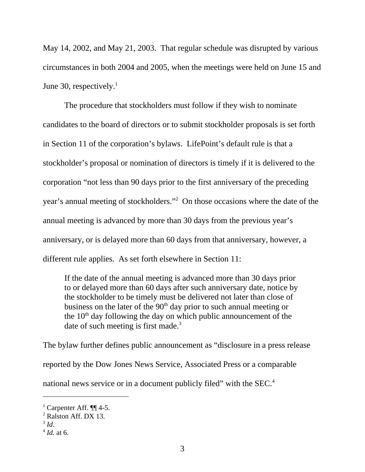May 14, 2002, and May 21, 2003. That regular schedule was disrupted by various circumstances in both 2004 and 2005, when the meetings were held on June 15 and June 30, respectively. $<sup>1</sup>$ </sup>

The procedure that stockholders must follow if they wish to nominate candidates to the board of directors or to submit stockholder proposals is set forth in Section 11 of the corporation's bylaws. LifePoint's default rule is that a stockholder's proposal or nomination of directors is timely if it is delivered to the corporation "not less than 90 days prior to the first anniversary of the preceding year's annual meeting of stockholders."<sup>2</sup> On those occasions where the date of the annual meeting is advanced by more than 30 days from the previous year's anniversary, or is delayed more than 60 days from that anniversary, however, a different rule applies. As set forth elsewhere in Section 11:

If the date of the annual meeting is advanced more than 30 days prior to or delayed more than 60 days after such anniversary date, notice by the stockholder to be timely must be delivered not later than close of business on the later of the  $90<sup>th</sup>$  day prior to such annual meeting or the  $10<sup>th</sup>$  day following the day on which public announcement of the date of such meeting is first made.<sup>3</sup>

The bylaw further defines public announcement as "disclosure in a press release

reported by the Dow Jones News Service, Associated Press or a comparable

national news service or in a document publicly filed" with the SEC.<sup>4</sup>

<sup>&</sup>lt;sup>1</sup> Carpenter Aff.  $\P\P$  4-5.

<sup>2</sup> Ralston Aff. DX 13.

 $3$  *Id.* 

<sup>4</sup> *Id.* at 6.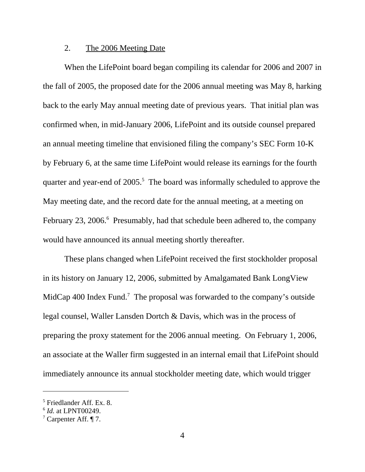### 2. The 2006 Meeting Date

When the LifePoint board began compiling its calendar for 2006 and 2007 in the fall of 2005, the proposed date for the 2006 annual meeting was May 8, harking back to the early May annual meeting date of previous years. That initial plan was confirmed when, in mid-January 2006, LifePoint and its outside counsel prepared an annual meeting timeline that envisioned filing the company's SEC Form 10-K by February 6, at the same time LifePoint would release its earnings for the fourth quarter and year-end of 2005.<sup>5</sup> The board was informally scheduled to approve the May meeting date, and the record date for the annual meeting, at a meeting on February 23, 2006.<sup>6</sup> Presumably, had that schedule been adhered to, the company would have announced its annual meeting shortly thereafter.

These plans changed when LifePoint received the first stockholder proposal in its history on January 12, 2006, submitted by Amalgamated Bank LongView MidCap 400 Index Fund.<sup>7</sup> The proposal was forwarded to the company's outside legal counsel, Waller Lansden Dortch & Davis, which was in the process of preparing the proxy statement for the 2006 annual meeting. On February 1, 2006, an associate at the Waller firm suggested in an internal email that LifePoint should immediately announce its annual stockholder meeting date, which would trigger

<sup>5</sup> Friedlander Aff. Ex. 8.

<sup>6</sup> *Id.* at LPNT00249.

<sup>&</sup>lt;sup>7</sup> Carpenter Aff.  $\P$  7.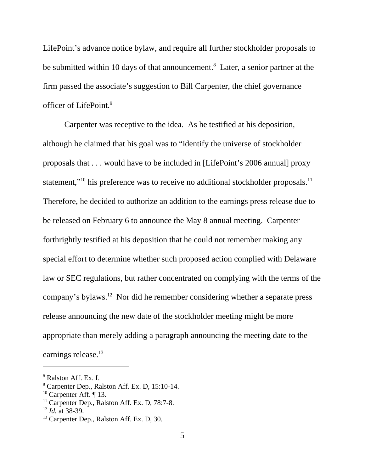LifePoint's advance notice bylaw, and require all further stockholder proposals to be submitted within 10 days of that announcement.<sup>8</sup> Later, a senior partner at the firm passed the associate's suggestion to Bill Carpenter, the chief governance officer of LifePoint.9

Carpenter was receptive to the idea. As he testified at his deposition, although he claimed that his goal was to "identify the universe of stockholder proposals that . . . would have to be included in [LifePoint's 2006 annual] proxy statement,"<sup>10</sup> his preference was to receive no additional stockholder proposals.<sup>11</sup> Therefore, he decided to authorize an addition to the earnings press release due to be released on February 6 to announce the May 8 annual meeting. Carpenter forthrightly testified at his deposition that he could not remember making any special effort to determine whether such proposed action complied with Delaware law or SEC regulations, but rather concentrated on complying with the terms of the company's bylaws.12 Nor did he remember considering whether a separate press release announcing the new date of the stockholder meeting might be more appropriate than merely adding a paragraph announcing the meeting date to the earnings release.<sup>13</sup>

<sup>8</sup> Ralston Aff. Ex. I.

<sup>9</sup> Carpenter Dep., Ralston Aff. Ex. D, 15:10-14.

 $10$  Carpenter Aff.  $\P$  13.

<sup>&</sup>lt;sup>11</sup> Carpenter Dep., Ralston Aff. Ex. D, 78:7-8.

<sup>12</sup> *Id.* at 38-39.

<sup>&</sup>lt;sup>13</sup> Carpenter Dep., Ralston Aff. Ex. D, 30.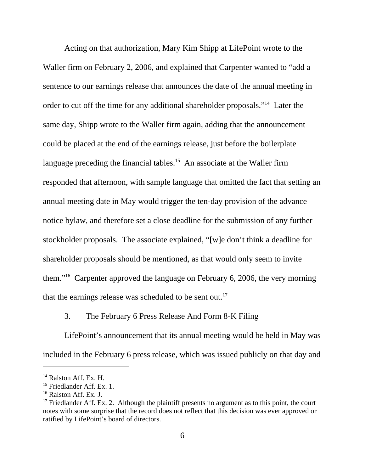Acting on that authorization, Mary Kim Shipp at LifePoint wrote to the Waller firm on February 2, 2006, and explained that Carpenter wanted to "add a sentence to our earnings release that announces the date of the annual meeting in order to cut off the time for any additional shareholder proposals."14 Later the same day, Shipp wrote to the Waller firm again, adding that the announcement could be placed at the end of the earnings release, just before the boilerplate language preceding the financial tables.<sup>15</sup> An associate at the Waller firm responded that afternoon, with sample language that omitted the fact that setting an annual meeting date in May would trigger the ten-day provision of the advance notice bylaw, and therefore set a close deadline for the submission of any further stockholder proposals. The associate explained, "[w]e don't think a deadline for shareholder proposals should be mentioned, as that would only seem to invite them."16 Carpenter approved the language on February 6, 2006, the very morning that the earnings release was scheduled to be sent out.<sup>17</sup>

#### 3. The February 6 Press Release And Form 8-K Filing

LifePoint's announcement that its annual meeting would be held in May was included in the February 6 press release, which was issued publicly on that day and

<sup>&</sup>lt;sup>14</sup> Ralston Aff. Ex. H.

<sup>&</sup>lt;sup>15</sup> Friedlander Aff. Ex. 1.

 $16$  Ralston Aff. Ex. J.

 $17$  Friedlander Aff. Ex. 2. Although the plaintiff presents no argument as to this point, the court notes with some surprise that the record does not reflect that this decision was ever approved or ratified by LifePoint's board of directors.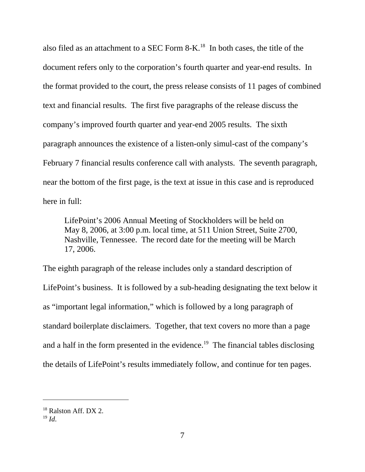also filed as an attachment to a SEC Form 8-K.18 In both cases, the title of the document refers only to the corporation's fourth quarter and year-end results. In the format provided to the court, the press release consists of 11 pages of combined text and financial results. The first five paragraphs of the release discuss the company's improved fourth quarter and year-end 2005 results. The sixth paragraph announces the existence of a listen-only simul-cast of the company's February 7 financial results conference call with analysts. The seventh paragraph, near the bottom of the first page, is the text at issue in this case and is reproduced here in full:

LifePoint's 2006 Annual Meeting of Stockholders will be held on May 8, 2006, at 3:00 p.m. local time, at 511 Union Street, Suite 2700, Nashville, Tennessee. The record date for the meeting will be March 17, 2006.

The eighth paragraph of the release includes only a standard description of LifePoint's business. It is followed by a sub-heading designating the text below it as "important legal information," which is followed by a long paragraph of standard boilerplate disclaimers. Together, that text covers no more than a page and a half in the form presented in the evidence.<sup>19</sup> The financial tables disclosing the details of LifePoint's results immediately follow, and continue for ten pages.

<sup>&</sup>lt;sup>18</sup> Ralston Aff. DX 2.

<sup>19</sup> *Id*.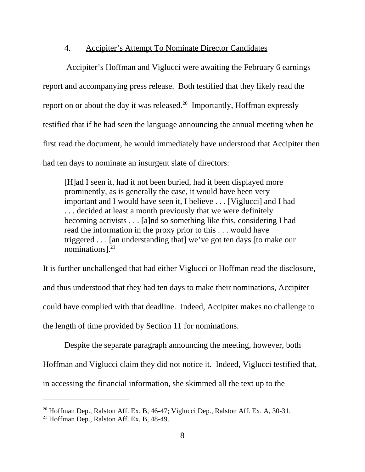## 4. Accipiter's Attempt To Nominate Director Candidates

 Accipiter's Hoffman and Viglucci were awaiting the February 6 earnings report and accompanying press release. Both testified that they likely read the report on or about the day it was released.<sup>20</sup> Importantly, Hoffman expressly testified that if he had seen the language announcing the annual meeting when he first read the document, he would immediately have understood that Accipiter then had ten days to nominate an insurgent slate of directors:

[H]ad I seen it, had it not been buried, had it been displayed more prominently, as is generally the case, it would have been very important and I would have seen it, I believe . . . [Viglucci] and I had . . . decided at least a month previously that we were definitely becoming activists . . . [a]nd so something like this, considering I had read the information in the proxy prior to this . . . would have triggered . . . [an understanding that] we've got ten days [to make our nominations]. $^{21}$ 

It is further unchallenged that had either Viglucci or Hoffman read the disclosure, and thus understood that they had ten days to make their nominations, Accipiter could have complied with that deadline. Indeed, Accipiter makes no challenge to the length of time provided by Section 11 for nominations.

Despite the separate paragraph announcing the meeting, however, both Hoffman and Viglucci claim they did not notice it. Indeed, Viglucci testified that, in accessing the financial information, she skimmed all the text up to the

<sup>&</sup>lt;sup>20</sup> Hoffman Dep., Ralston Aff. Ex. B, 46-47; Viglucci Dep., Ralston Aff. Ex. A, 30-31.

 $21$  Hoffman Dep., Ralston Aff. Ex. B, 48-49.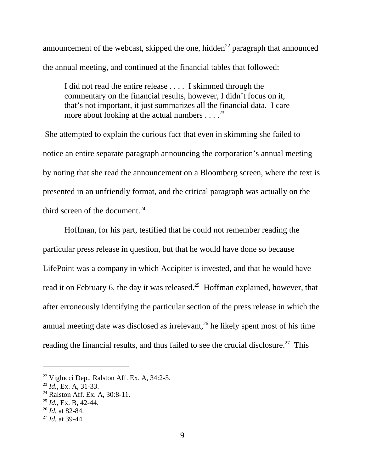announcement of the webcast, skipped the one, hidden<sup>22</sup> paragraph that announced the annual meeting, and continued at the financial tables that followed:

I did not read the entire release . . . . I skimmed through the commentary on the financial results, however, I didn't focus on it, that's not important, it just summarizes all the financial data. I care more about looking at the actual numbers  $\dots$ .<sup>23</sup>

 She attempted to explain the curious fact that even in skimming she failed to notice an entire separate paragraph announcing the corporation's annual meeting by noting that she read the announcement on a Bloomberg screen, where the text is presented in an unfriendly format, and the critical paragraph was actually on the third screen of the document. $24$ 

Hoffman, for his part, testified that he could not remember reading the particular press release in question, but that he would have done so because LifePoint was a company in which Accipiter is invested, and that he would have read it on February 6, the day it was released.<sup>25</sup> Hoffman explained, however, that after erroneously identifying the particular section of the press release in which the annual meeting date was disclosed as irrelevant,<sup>26</sup> he likely spent most of his time reading the financial results, and thus failed to see the crucial disclosure.<sup>27</sup> This

 $22$  Viglucci Dep., Ralston Aff. Ex. A, 34:2-5.

<sup>23</sup> *Id.*, Ex. A, 31-33.

<sup>&</sup>lt;sup>24</sup> Ralston Aff. Ex. A, 30:8-11.

<sup>25</sup> *Id.*, Ex. B, 42-44.

<sup>26</sup> *Id.* at 82-84.

<sup>27</sup> *Id.* at 39-44.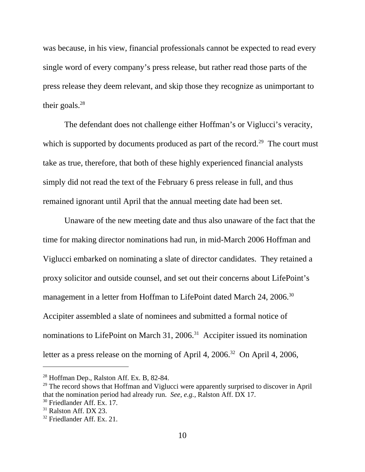was because, in his view, financial professionals cannot be expected to read every single word of every company's press release, but rather read those parts of the press release they deem relevant, and skip those they recognize as unimportant to their goals. $^{28}$ 

The defendant does not challenge either Hoffman's or Viglucci's veracity, which is supported by documents produced as part of the record.<sup>29</sup> The court must take as true, therefore, that both of these highly experienced financial analysts simply did not read the text of the February 6 press release in full, and thus remained ignorant until April that the annual meeting date had been set.

Unaware of the new meeting date and thus also unaware of the fact that the time for making director nominations had run, in mid-March 2006 Hoffman and Viglucci embarked on nominating a slate of director candidates. They retained a proxy solicitor and outside counsel, and set out their concerns about LifePoint's management in a letter from Hoffman to LifePoint dated March 24, 2006.<sup>30</sup> Accipiter assembled a slate of nominees and submitted a formal notice of nominations to LifePoint on March 31, 2006.<sup>31</sup> Accipiter issued its nomination letter as a press release on the morning of April 4, 2006.<sup>32</sup> On April 4, 2006,

<sup>&</sup>lt;sup>28</sup> Hoffman Dep., Ralston Aff. Ex. B, 82-84.

 $29$  The record shows that Hoffman and Viglucci were apparently surprised to discover in April that the nomination period had already run. *See, e.g.,* Ralston Aff. DX 17.

<sup>&</sup>lt;sup>30</sup> Friedlander Aff. Ex. 17.

 $31$  Ralston Aff. DX 23.

<sup>&</sup>lt;sup>32</sup> Friedlander Aff. Ex. 21.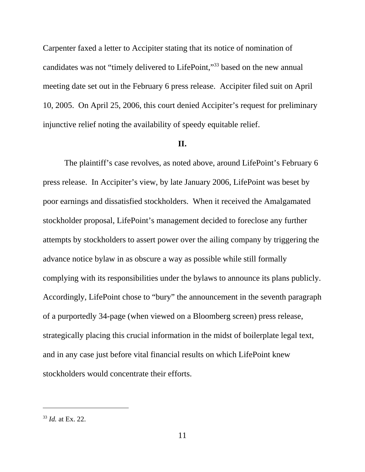Carpenter faxed a letter to Accipiter stating that its notice of nomination of candidates was not "timely delivered to LifePoint,"33 based on the new annual meeting date set out in the February 6 press release. Accipiter filed suit on April 10, 2005. On April 25, 2006, this court denied Accipiter's request for preliminary injunctive relief noting the availability of speedy equitable relief.

#### **II.**

The plaintiff's case revolves, as noted above, around LifePoint's February 6 press release. In Accipiter's view, by late January 2006, LifePoint was beset by poor earnings and dissatisfied stockholders. When it received the Amalgamated stockholder proposal, LifePoint's management decided to foreclose any further attempts by stockholders to assert power over the ailing company by triggering the advance notice bylaw in as obscure a way as possible while still formally complying with its responsibilities under the bylaws to announce its plans publicly. Accordingly, LifePoint chose to "bury" the announcement in the seventh paragraph of a purportedly 34-page (when viewed on a Bloomberg screen) press release, strategically placing this crucial information in the midst of boilerplate legal text, and in any case just before vital financial results on which LifePoint knew stockholders would concentrate their efforts.

<sup>33</sup> *Id.* at Ex. 22.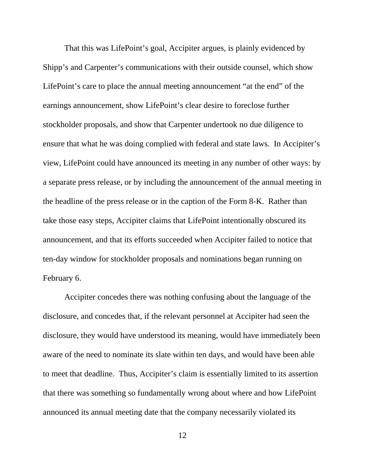That this was LifePoint's goal, Accipiter argues, is plainly evidenced by Shipp's and Carpenter's communications with their outside counsel, which show LifePoint's care to place the annual meeting announcement "at the end" of the earnings announcement, show LifePoint's clear desire to foreclose further stockholder proposals, and show that Carpenter undertook no due diligence to ensure that what he was doing complied with federal and state laws. In Accipiter's view, LifePoint could have announced its meeting in any number of other ways: by a separate press release, or by including the announcement of the annual meeting in the headline of the press release or in the caption of the Form 8-K. Rather than take those easy steps, Accipiter claims that LifePoint intentionally obscured its announcement, and that its efforts succeeded when Accipiter failed to notice that ten-day window for stockholder proposals and nominations began running on February 6.

Accipiter concedes there was nothing confusing about the language of the disclosure, and concedes that, if the relevant personnel at Accipiter had seen the disclosure, they would have understood its meaning, would have immediately been aware of the need to nominate its slate within ten days, and would have been able to meet that deadline. Thus, Accipiter's claim is essentially limited to its assertion that there was something so fundamentally wrong about where and how LifePoint announced its annual meeting date that the company necessarily violated its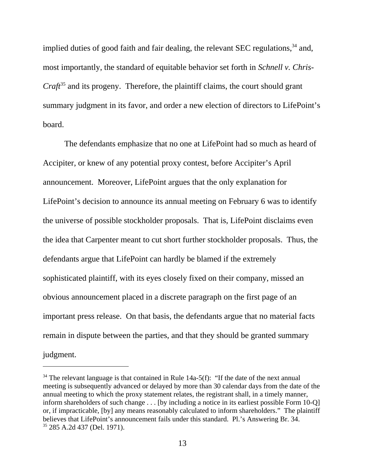implied duties of good faith and fair dealing, the relevant SEC regulations,<sup>34</sup> and, most importantly, the standard of equitable behavior set forth in *Schnell v. Chris-Craft*<sup>35</sup> and its progeny. Therefore, the plaintiff claims, the court should grant summary judgment in its favor, and order a new election of directors to LifePoint's board.

The defendants emphasize that no one at LifePoint had so much as heard of Accipiter, or knew of any potential proxy contest, before Accipiter's April announcement. Moreover, LifePoint argues that the only explanation for LifePoint's decision to announce its annual meeting on February 6 was to identify the universe of possible stockholder proposals. That is, LifePoint disclaims even the idea that Carpenter meant to cut short further stockholder proposals. Thus, the defendants argue that LifePoint can hardly be blamed if the extremely sophisticated plaintiff, with its eyes closely fixed on their company, missed an obvious announcement placed in a discrete paragraph on the first page of an important press release. On that basis, the defendants argue that no material facts remain in dispute between the parties, and that they should be granted summary judgment.

 $34$  The relevant language is that contained in Rule 14a-5(f): "If the date of the next annual meeting is subsequently advanced or delayed by more than 30 calendar days from the date of the annual meeting to which the proxy statement relates, the registrant shall, in a timely manner, inform shareholders of such change . . . [by including a notice in its earliest possible Form 10-Q] or, if impracticable, [by] any means reasonably calculated to inform shareholders." The plaintiff believes that LifePoint's announcement fails under this standard. Pl.'s Answering Br. 34. 35 285 A.2d 437 (Del. 1971).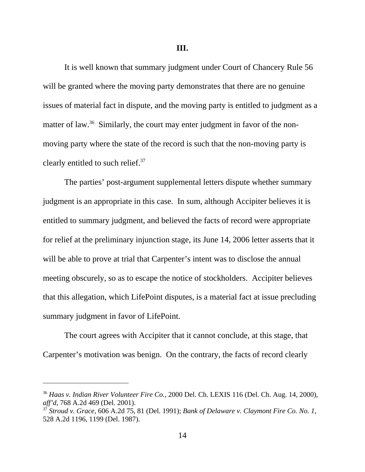It is well known that summary judgment under Court of Chancery Rule 56 will be granted where the moving party demonstrates that there are no genuine issues of material fact in dispute, and the moving party is entitled to judgment as a matter of law.<sup>36</sup> Similarly, the court may enter judgment in favor of the nonmoving party where the state of the record is such that the non-moving party is clearly entitled to such relief.<sup>37</sup>

The parties' post-argument supplemental letters dispute whether summary judgment is an appropriate in this case. In sum, although Accipiter believes it is entitled to summary judgment, and believed the facts of record were appropriate for relief at the preliminary injunction stage, its June 14, 2006 letter asserts that it will be able to prove at trial that Carpenter's intent was to disclose the annual meeting obscurely, so as to escape the notice of stockholders. Accipiter believes that this allegation, which LifePoint disputes, is a material fact at issue precluding summary judgment in favor of LifePoint.

The court agrees with Accipiter that it cannot conclude, at this stage, that Carpenter's motivation was benign. On the contrary, the facts of record clearly

<sup>36</sup> *Haas v. Indian River Volunteer Fire Co.*, 2000 Del. Ch. LEXIS 116 (Del. Ch. Aug. 14, 2000), *aff'd*, 768 A.2d 469 (Del. 2001).

<sup>37</sup> *Stroud v. Grace*, 606 A.2d 75, 81 (Del. 1991); *Bank of Delaware v. Claymont Fire Co. No. 1*, 528 A.2d 1196, 1199 (Del. 1987).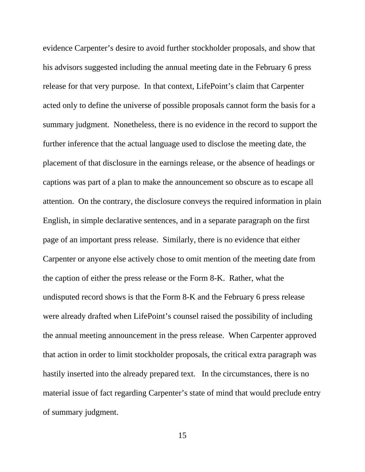evidence Carpenter's desire to avoid further stockholder proposals, and show that his advisors suggested including the annual meeting date in the February 6 press release for that very purpose. In that context, LifePoint's claim that Carpenter acted only to define the universe of possible proposals cannot form the basis for a summary judgment. Nonetheless, there is no evidence in the record to support the further inference that the actual language used to disclose the meeting date, the placement of that disclosure in the earnings release, or the absence of headings or captions was part of a plan to make the announcement so obscure as to escape all attention. On the contrary, the disclosure conveys the required information in plain English, in simple declarative sentences, and in a separate paragraph on the first page of an important press release. Similarly, there is no evidence that either Carpenter or anyone else actively chose to omit mention of the meeting date from the caption of either the press release or the Form 8-K. Rather, what the undisputed record shows is that the Form 8-K and the February 6 press release were already drafted when LifePoint's counsel raised the possibility of including the annual meeting announcement in the press release. When Carpenter approved that action in order to limit stockholder proposals, the critical extra paragraph was hastily inserted into the already prepared text. In the circumstances, there is no material issue of fact regarding Carpenter's state of mind that would preclude entry of summary judgment.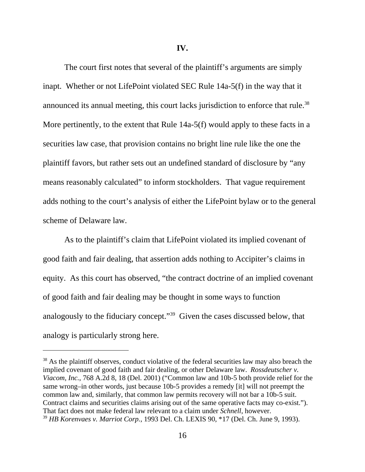**IV.**

The court first notes that several of the plaintiff's arguments are simply inapt. Whether or not LifePoint violated SEC Rule 14a-5(f) in the way that it announced its annual meeting, this court lacks jurisdiction to enforce that rule.<sup>38</sup> More pertinently, to the extent that Rule 14a-5(f) would apply to these facts in a securities law case, that provision contains no bright line rule like the one the plaintiff favors, but rather sets out an undefined standard of disclosure by "any means reasonably calculated" to inform stockholders. That vague requirement adds nothing to the court's analysis of either the LifePoint bylaw or to the general scheme of Delaware law.

As to the plaintiff's claim that LifePoint violated its implied covenant of good faith and fair dealing, that assertion adds nothing to Accipiter's claims in equity. As this court has observed, "the contract doctrine of an implied covenant of good faith and fair dealing may be thought in some ways to function analogously to the fiduciary concept."39 Given the cases discussed below, that analogy is particularly strong here.

<sup>&</sup>lt;sup>38</sup> As the plaintiff observes, conduct violative of the federal securities law may also breach the implied covenant of good faith and fair dealing, or other Delaware law. *Rossdeutscher v. Viacom, Inc.*, 768 A.2d 8, 18 (Del. 2001) ("Common law and 10b-5 both provide relief for the same wrong–in other words, just because 10b-5 provides a remedy [it] will not preempt the common law and, similarly, that common law permits recovery will not bar a 10b-5 suit. Contract claims and securities claims arising out of the same operative facts may co-exist."). That fact does not make federal law relevant to a claim under *Schnell*, however. <sup>39</sup> *HB Korenvaes v. Marriot Corp.*, 1993 Del. Ch. LEXIS 90, \*17 (Del. Ch. June 9, 1993).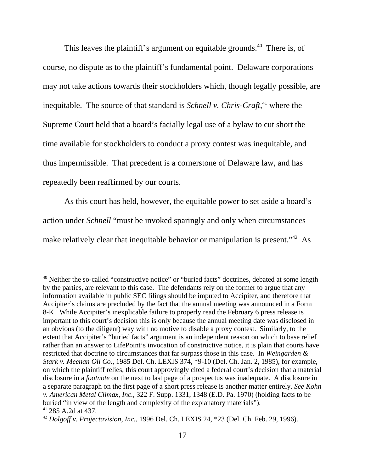This leaves the plaintiff's argument on equitable grounds.<sup>40</sup> There is, of course, no dispute as to the plaintiff's fundamental point. Delaware corporations may not take actions towards their stockholders which, though legally possible, are inequitable. The source of that standard is *Schnell v. Chris-Craft*, 41 where the Supreme Court held that a board's facially legal use of a bylaw to cut short the time available for stockholders to conduct a proxy contest was inequitable, and thus impermissible. That precedent is a cornerstone of Delaware law, and has repeatedly been reaffirmed by our courts.

As this court has held, however, the equitable power to set aside a board's action under *Schnell* "must be invoked sparingly and only when circumstances make relatively clear that inequitable behavior or manipulation is present.<sup>"42</sup> As

<sup>&</sup>lt;sup>40</sup> Neither the so-called "constructive notice" or "buried facts" doctrines, debated at some length by the parties, are relevant to this case. The defendants rely on the former to argue that any information available in public SEC filings should be imputed to Accipiter, and therefore that Accipiter's claims are precluded by the fact that the annual meeting was announced in a Form 8-K. While Accipiter's inexplicable failure to properly read the February 6 press release is important to this court's decision this is only because the annual meeting date was disclosed in an obvious (to the diligent) way with no motive to disable a proxy contest. Similarly, to the extent that Accipiter's "buried facts" argument is an independent reason on which to base relief rather than an answer to LifePoint's invocation of constructive notice, it is plain that courts have restricted that doctrine to circumstances that far surpass those in this case. In *Weingarden & Stark v. Meenan Oil Co.*, 1985 Del. Ch. LEXIS 374, \*9-10 (Del. Ch. Jan. 2, 1985), for example, on which the plaintiff relies, this court approvingly cited a federal court's decision that a material disclosure in a *footnote* on the next to last page of a prospectus was inadequate. A disclosure in a separate paragraph on the first page of a short press release is another matter entirely. *See Kohn v. American Metal Climax, Inc.*, 322 F. Supp. 1331, 1348 (E.D. Pa. 1970) (holding facts to be buried "in view of the length and complexity of the explanatory materials"). 41 285 A.2d at 437.

<sup>42</sup> *Dolgoff v. Projectavision, Inc.*, 1996 Del. Ch. LEXIS 24, \*23 (Del. Ch. Feb. 29, 1996).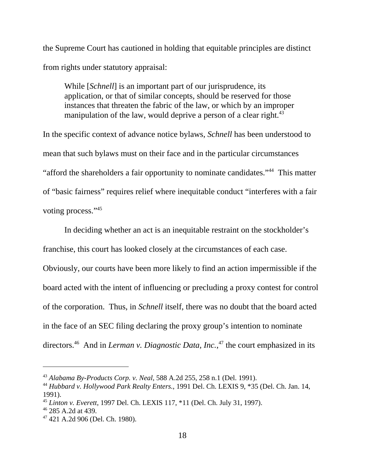the Supreme Court has cautioned in holding that equitable principles are distinct from rights under statutory appraisal:

While [*Schnell*] is an important part of our jurisprudence, its application, or that of similar concepts, should be reserved for those instances that threaten the fabric of the law, or which by an improper manipulation of the law, would deprive a person of a clear right.<sup>43</sup>

In the specific context of advance notice bylaws, *Schnell* has been understood to mean that such bylaws must on their face and in the particular circumstances "afford the shareholders a fair opportunity to nominate candidates."44 This matter of "basic fairness" requires relief where inequitable conduct "interferes with a fair voting process."<sup>45</sup>

In deciding whether an act is an inequitable restraint on the stockholder's franchise, this court has looked closely at the circumstances of each case.

Obviously, our courts have been more likely to find an action impermissible if the board acted with the intent of influencing or precluding a proxy contest for control of the corporation. Thus, in *Schnell* itself, there was no doubt that the board acted in the face of an SEC filing declaring the proxy group's intention to nominate directors.<sup>46</sup> And in *Lerman v. Diagnostic Data, Inc.*,<sup>47</sup> the court emphasized in its

<sup>43</sup> *Alabama By-Products Corp. v. Neal*, 588 A.2d 255, 258 n.1 (Del. 1991).

<sup>44</sup> *Hubbard v. Hollywood Park Realty Enters.*, 1991 Del. Ch. LEXIS 9, \*35 (Del. Ch. Jan. 14, 1991).

<sup>45</sup> *Linton v. Everett*, 1997 Del. Ch. LEXIS 117, \*11 (Del. Ch. July 31, 1997).

<sup>46 285</sup> A.2d at 439.

<sup>47 421</sup> A.2d 906 (Del. Ch. 1980).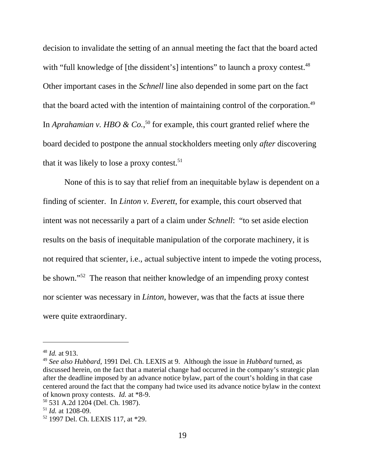decision to invalidate the setting of an annual meeting the fact that the board acted with "full knowledge of [the dissident's] intentions" to launch a proxy contest.<sup>48</sup> Other important cases in the *Schnell* line also depended in some part on the fact that the board acted with the intention of maintaining control of the corporation.<sup>49</sup> In *Aprahamian v. HBO & Co.*,<sup>50</sup> for example, this court granted relief where the board decided to postpone the annual stockholders meeting only *after* discovering that it was likely to lose a proxy contest. $51$ 

None of this is to say that relief from an inequitable bylaw is dependent on a finding of scienter. In *Linton v. Everett*, for example, this court observed that intent was not necessarily a part of a claim under *Schnell*: "to set aside election results on the basis of inequitable manipulation of the corporate machinery, it is not required that scienter, i.e., actual subjective intent to impede the voting process, be shown."52 The reason that neither knowledge of an impending proxy contest nor scienter was necessary in *Linton*, however, was that the facts at issue there were quite extraordinary.

<sup>48</sup> *Id.* at 913.

<sup>49</sup> *See also Hubbard*, 1991 Del. Ch. LEXIS at 9. Although the issue in *Hubbard* turned, as discussed herein, on the fact that a material change had occurred in the company's strategic plan after the deadline imposed by an advance notice bylaw, part of the court's holding in that case centered around the fact that the company had twice used its advance notice bylaw in the context of known proxy contests. *Id.* at \*8-9.

<sup>50 531</sup> A.2d 1204 (Del. Ch. 1987).

<sup>51</sup> *Id.* at 1208-09.

<sup>52 1997</sup> Del. Ch. LEXIS 117, at \*29.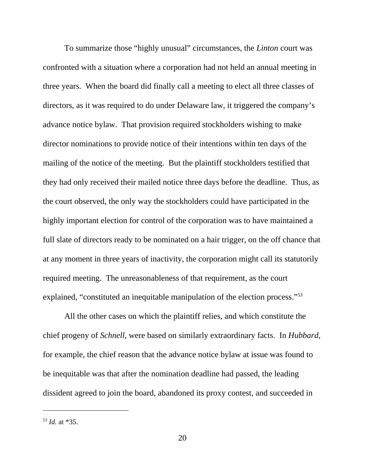To summarize those "highly unusual" circumstances, the *Linton* court was confronted with a situation where a corporation had not held an annual meeting in three years. When the board did finally call a meeting to elect all three classes of directors, as it was required to do under Delaware law, it triggered the company's advance notice bylaw. That provision required stockholders wishing to make director nominations to provide notice of their intentions within ten days of the mailing of the notice of the meeting. But the plaintiff stockholders testified that they had only received their mailed notice three days before the deadline. Thus, as the court observed, the only way the stockholders could have participated in the highly important election for control of the corporation was to have maintained a full slate of directors ready to be nominated on a hair trigger, on the off chance that at any moment in three years of inactivity, the corporation might call its statutorily required meeting. The unreasonableness of that requirement, as the court explained, "constituted an inequitable manipulation of the election process."<sup>53</sup>

All the other cases on which the plaintiff relies, and which constitute the chief progeny of *Schnell*, were based on similarly extraordinary facts. In *Hubbard*, for example, the chief reason that the advance notice bylaw at issue was found to be inequitable was that after the nomination deadline had passed, the leading dissident agreed to join the board, abandoned its proxy contest, and succeeded in

<sup>53</sup> *Id.* at \*35.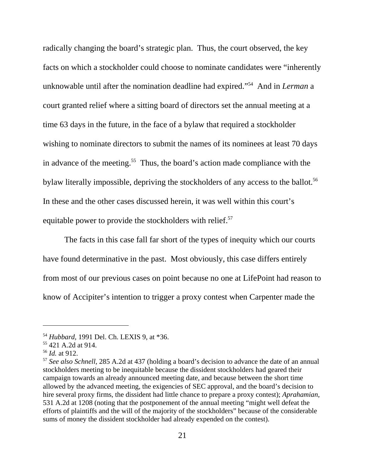radically changing the board's strategic plan. Thus, the court observed, the key facts on which a stockholder could choose to nominate candidates were "inherently unknowable until after the nomination deadline had expired."54 And in *Lerman* a court granted relief where a sitting board of directors set the annual meeting at a time 63 days in the future, in the face of a bylaw that required a stockholder wishing to nominate directors to submit the names of its nominees at least 70 days in advance of the meeting.<sup>55</sup> Thus, the board's action made compliance with the bylaw literally impossible, depriving the stockholders of any access to the ballot.<sup>56</sup> In these and the other cases discussed herein, it was well within this court's equitable power to provide the stockholders with relief.<sup>57</sup>

The facts in this case fall far short of the types of inequity which our courts have found determinative in the past. Most obviously, this case differs entirely from most of our previous cases on point because no one at LifePoint had reason to know of Accipiter's intention to trigger a proxy contest when Carpenter made the

<sup>54</sup> *Hubbard,* 1991 Del. Ch. LEXIS 9, at \*36.

<sup>55 421</sup> A.2d at 914.

<sup>56</sup> *Id.* at 912.

<sup>57</sup> *See also Schnell*, 285 A.2d at 437 (holding a board's decision to advance the date of an annual stockholders meeting to be inequitable because the dissident stockholders had geared their campaign towards an already announced meeting date, and because between the short time allowed by the advanced meeting, the exigencies of SEC approval, and the board's decision to hire several proxy firms, the dissident had little chance to prepare a proxy contest); *Aprahamian*, 531 A.2d at 1208 (noting that the postponement of the annual meeting "might well defeat the efforts of plaintiffs and the will of the majority of the stockholders" because of the considerable sums of money the dissident stockholder had already expended on the contest).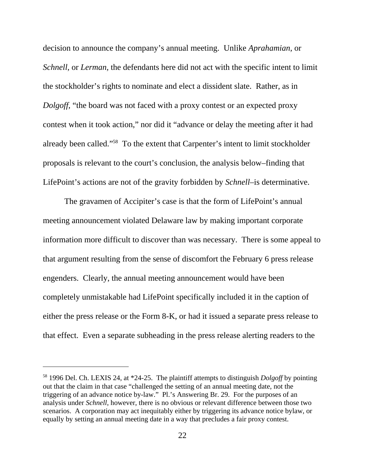decision to announce the company's annual meeting. Unlike *Aprahamian*, or *Schnell*, or *Lerman*, the defendants here did not act with the specific intent to limit the stockholder's rights to nominate and elect a dissident slate. Rather, as in *Dolgoff*, "the board was not faced with a proxy contest or an expected proxy contest when it took action," nor did it "advance or delay the meeting after it had already been called."58 To the extent that Carpenter's intent to limit stockholder proposals is relevant to the court's conclusion, the analysis below–finding that LifePoint's actions are not of the gravity forbidden by *Schnell–*is determinative.

The gravamen of Accipiter's case is that the form of LifePoint's annual meeting announcement violated Delaware law by making important corporate information more difficult to discover than was necessary. There is some appeal to that argument resulting from the sense of discomfort the February 6 press release engenders. Clearly, the annual meeting announcement would have been completely unmistakable had LifePoint specifically included it in the caption of either the press release or the Form 8-K, or had it issued a separate press release to that effect. Even a separate subheading in the press release alerting readers to the

<sup>58 1996</sup> Del. Ch. LEXIS 24, at \*24-25. The plaintiff attempts to distinguish *Dolgoff* by pointing out that the claim in that case "challenged the setting of an annual meeting date, not the triggering of an advance notice by-law." Pl.'s Answering Br. 29. For the purposes of an analysis under *Schnell*, however, there is no obvious or relevant difference between those two scenarios. A corporation may act inequitably either by triggering its advance notice bylaw, or equally by setting an annual meeting date in a way that precludes a fair proxy contest.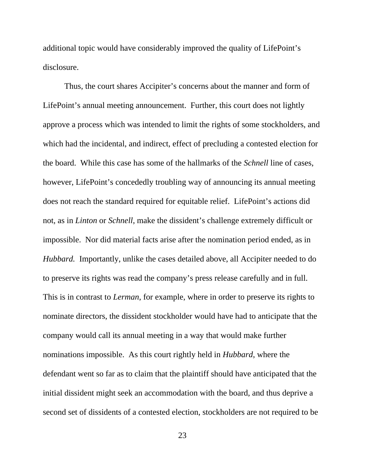additional topic would have considerably improved the quality of LifePoint's disclosure.

Thus, the court shares Accipiter's concerns about the manner and form of LifePoint's annual meeting announcement. Further, this court does not lightly approve a process which was intended to limit the rights of some stockholders, and which had the incidental, and indirect, effect of precluding a contested election for the board. While this case has some of the hallmarks of the *Schnell* line of cases, however, LifePoint's concededly troubling way of announcing its annual meeting does not reach the standard required for equitable relief. LifePoint's actions did not, as in *Linton* or *Schnell*, make the dissident's challenge extremely difficult or impossible. Nor did material facts arise after the nomination period ended, as in *Hubbard.* Importantly, unlike the cases detailed above, all Accipiter needed to do to preserve its rights was read the company's press release carefully and in full. This is in contrast to *Lerman*, for example, where in order to preserve its rights to nominate directors, the dissident stockholder would have had to anticipate that the company would call its annual meeting in a way that would make further nominations impossible. As this court rightly held in *Hubbard*, where the defendant went so far as to claim that the plaintiff should have anticipated that the initial dissident might seek an accommodation with the board, and thus deprive a second set of dissidents of a contested election, stockholders are not required to be